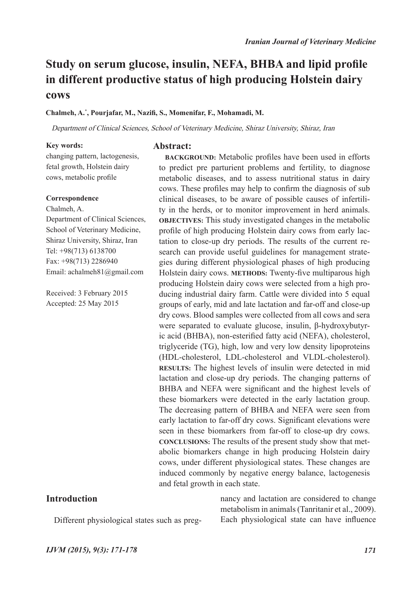# **Study on serum glucose, insulin, NEFA, BHBA and lipid profile in different productive status of high producing Holstein dairy cows**

#### **Chalmeh, A.\* , Pourjafar, M., Nazifi, S., Momenifar, F., Mohamadi, M.**

**Abstract:**

Department of Clinical Sciences, School of Veterinary Medicine, Shiraz University, Shiraz, Iran

#### **Key words:**

changing pattern, lactogenesis, fetal growth, Holstein dairy cows, metabolic profile

#### **Correspondence**

Chalmeh, A. Department of Clinical Sciences, School of Veterinary Medicine, Shiraz University, Shiraz, Iran Tel: +98(713) 6138700

Fax: +98(713) 2286940 Email: achalmeh81@gmail.com

Received: 3 February 2015 Accepted: 25 May 2015

# **Introduction**

Different physiological states such as preg-

to predict pre parturient problems and fertility, to diagnose metabolic diseases, and to assess nutritional status in dairy cows. These profiles may help to confirm the diagnosis of sub clinical diseases, to be aware of possible causes of infertility in the herds, or to monitor improvement in herd animals. **OBJECTIVES:** This study investigated changes in the metabolic profile of high producing Holstein dairy cows from early lactation to close-up dry periods. The results of the current research can provide useful guidelines for management strategies during different physiological phases of high producing Holstein dairy cows. **METHODS:** Twenty-five multiparous high producing Holstein dairy cows were selected from a high producing industrial dairy farm. Cattle were divided into 5 equal groups of early, mid and late lactation and far-off and close-up dry cows. Blood samples were collected from all cows and sera were separated to evaluate glucose, insulin, β-hydroxybutyric acid (BHBA), non-esterified fatty acid (NEFA), cholesterol, triglyceride (TG), high, low and very low density lipoproteins (HDL-cholesterol, LDL-cholesterol and VLDL-cholesterol). **RESULTS:** The highest levels of insulin were detected in mid lactation and close-up dry periods. The changing patterns of BHBA and NEFA were significant and the highest levels of these biomarkers were detected in the early lactation group. The decreasing pattern of BHBA and NEFA were seen from early lactation to far-off dry cows. Significant elevations were seen in these biomarkers from far-off to close-up dry cows. **CONCLUSIONS:** The results of the present study show that metabolic biomarkers change in high producing Holstein dairy cows, under different physiological states. These changes are induced commonly by negative energy balance, lactogenesis and fetal growth in each state.

**BACKGROUND:** Metabolic profiles have been used in efforts

nancy and lactation are considered to change metabolism in animals (Tanritanir et al., 2009). Each physiological state can have influence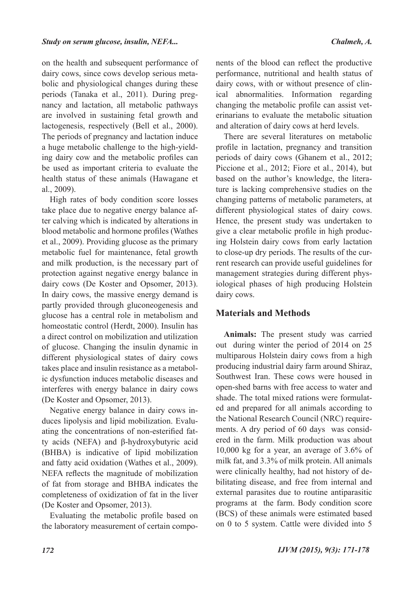on the health and subsequent performance of dairy cows, since cows develop serious metabolic and physiological changes during these periods (Tanaka et al., 2011). During pregnancy and lactation, all metabolic pathways are involved in sustaining fetal growth and lactogenesis, respectively (Bell et al., 2000). The periods of pregnancy and lactation induce a huge metabolic challenge to the high-yielding dairy cow and the metabolic profiles can be used as important criteria to evaluate the health status of these animals (Hawagane et al., 2009).

High rates of body condition score losses take place due to negative energy balance after calving which is indicated by alterations in blood metabolic and hormone profiles (Wathes et al., 2009). Providing glucose as the primary metabolic fuel for maintenance, fetal growth and milk production, is the necessary part of protection against negative energy balance in dairy cows (De Koster and Opsomer, 2013). In dairy cows, the massive energy demand is partly provided through gluconeogenesis and glucose has a central role in metabolism and homeostatic control (Herdt, 2000). Insulin has a direct control on mobilization and utilization of glucose. Changing the insulin dynamic in different physiological states of dairy cows takes place and insulin resistance as a metabolic dysfunction induces metabolic diseases and interferes with energy balance in dairy cows (De Koster and Opsomer, 2013).

Negative energy balance in dairy cows induces lipolysis and lipid mobilization. Evaluating the concentrations of non-esterified fatty acids (NEFA) and β-hydroxybutyric acid (BHBA) is indicative of lipid mobilization and fatty acid oxidation (Wathes et al., 2009). NEFA reflects the magnitude of mobilization of fat from storage and BHBA indicates the completeness of oxidization of fat in the liver (De Koster and Opsomer, 2013).

Evaluating the metabolic profile based on the laboratory measurement of certain compo-

nents of the blood can reflect the productive performance, nutritional and health status of dairy cows, with or without presence of clinical abnormalities. Information regarding changing the metabolic profile can assist veterinarians to evaluate the metabolic situation and alteration of dairy cows at herd levels.

There are several literatures on metabolic profile in lactation, pregnancy and transition periods of dairy cows (Ghanem et al., 2012; Piccione et al., 2012; Fiore et al., 2014), but based on the author's knowledge, the literature is lacking comprehensive studies on the changing patterns of metabolic parameters, at different physiological states of dairy cows. Hence, the present study was undertaken to give a clear metabolic profile in high producing Holstein dairy cows from early lactation to close-up dry periods. The results of the current research can provide useful guidelines for management strategies during different physiological phases of high producing Holstein dairy cows.

### **Materials and Methods**

**Animals:** The present study was carried out during winter the period of 2014 on 25 multiparous Holstein dairy cows from a high producing industrial dairy farm around Shiraz, Southwest Iran. These cows were housed in open-shed barns with free access to water and shade. The total mixed rations were formulated and prepared for all animals according to the National Research Council (NRC) requirements. A dry period of 60 days was considered in the farm. Milk production was about 10,000 kg for a year, an average of 3.6% of milk fat, and 3.3% of milk protein. All animals were clinically healthy, had not history of debilitating disease, and free from internal and external parasites due to routine antiparasitic programs at the farm. Body condition score (BCS) of these animals were estimated based on 0 to 5 system. Cattle were divided into 5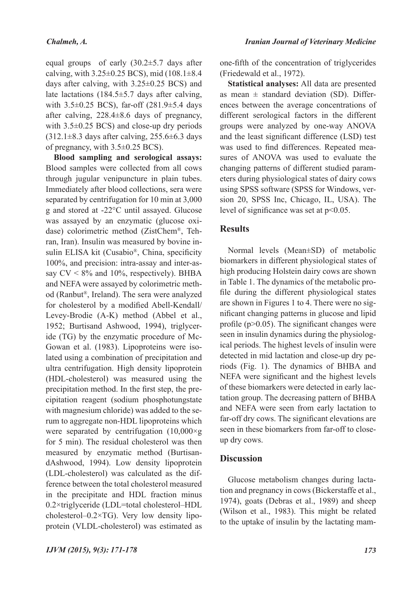equal groups of early (30.2±5.7 days after calving, with  $3.25\pm0.25$  BCS), mid  $(108.1\pm8.4)$ days after calving, with 3.25±0.25 BCS) and late lactations (184.5±5.7 days after calving, with 3.5±0.25 BCS), far-off (281.9±5.4 days after calving, 228.4±8.6 days of pregnancy, with 3.5±0.25 BCS) and close-up dry periods (312.1±8.3 days after calving, 255.6±6.3 days of pregnancy, with 3.5±0.25 BCS).

**Blood sampling and serological assays:**  Blood samples were collected from all cows through jugular venipuncture in plain tubes. Immediately after blood collections, sera were separated by centrifugation for 10 min at 3,000 g and stored at -22°C until assayed. Glucose was assayed by an enzymatic (glucose oxidase) colorimetric method (ZistChem®, Tehran, Iran). Insulin was measured by bovine insulin ELISA kit (Cusabio®, China, specificity 100%, and precision: intra-assay and inter-assay  $CV < 8\%$  and 10%, respectively). BHBA and NEFA were assayed by colorimetric method (Ranbut®, Ireland). The sera were analyzed for cholesterol by a modified Abell-Kendall/ Levey-Brodie (A-K) method (Abbel et al., 1952; Burtisand Ashwood, 1994), triglyceride (TG) by the enzymatic procedure of Mc-Gowan et al. (1983). Lipoproteins were isolated using a combination of precipitation and ultra centrifugation. High density lipoprotein (HDL-cholesterol) was measured using the precipitation method. In the first step, the precipitation reagent (sodium phosphotungstate with magnesium chloride) was added to the serum to aggregate non-HDL lipoproteins which were separated by centrifugation  $(10,000 \times g)$ for 5 min). The residual cholesterol was then measured by enzymatic method (BurtisandAshwood, 1994). Low density lipoprotein (LDL-cholesterol) was calculated as the difference between the total cholesterol measured in the precipitate and HDL fraction minus 0.2×triglyceride (LDL=total cholesterol–HDL cholesterol–0.2×TG). Very low density lipoprotein (VLDL-cholesterol) was estimated as

one-fifth of the concentration of triglycerides (Friedewald et al., 1972).

**Statistical analyses:** All data are presented as mean  $\pm$  standard deviation (SD). Differences between the average concentrations of different serological factors in the different groups were analyzed by one-way ANOVA and the least significant difference (LSD) test was used to find differences. Repeated measures of ANOVA was used to evaluate the changing patterns of different studied parameters during physiological states of dairy cows using SPSS software (SPSS for Windows, version 20, SPSS Inc, Chicago, IL, USA). The level of significance was set at p<0.05.

# **Results**

Normal levels (Mean±SD) of metabolic biomarkers in different physiological states of high producing Holstein dairy cows are shown in Table 1. The dynamics of the metabolic profile during the different physiological states are shown in Figures 1 to 4. There were no significant changing patterns in glucose and lipid profile (p>0.05). The significant changes were seen in insulin dynamics during the physiological periods. The highest levels of insulin were detected in mid lactation and close-up dry periods (Fig. 1). The dynamics of BHBA and NEFA were significant and the highest levels of these biomarkers were detected in early lactation group. The decreasing pattern of BHBA and NEFA were seen from early lactation to far-off dry cows. The significant elevations are seen in these biomarkers from far-off to closeup dry cows.

# **Discussion**

Glucose metabolism changes during lactation and pregnancy in cows (Bickerstaffe et al., 1974), goats (Debras et al., 1989) and sheep (Wilson et al., 1983). This might be related to the uptake of insulin by the lactating mam-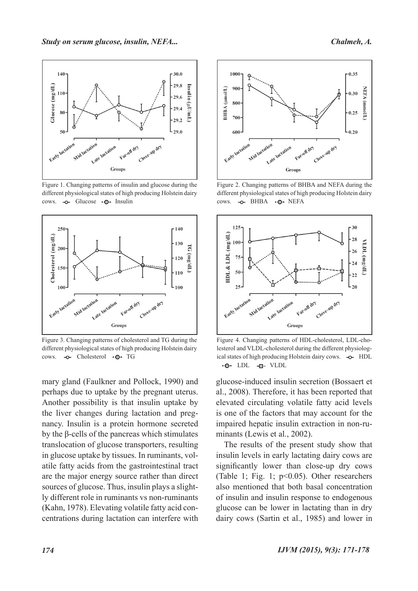

Figure 1. Changing patterns of insulin and glucose during the different physiological states of high producing Holstein dairy cows. - o- Glucose - o- Insulin



Figure 3. Changing patterns of cholesterol and TG during the different physiological states of high producing Holstein dairy cows. - o- Cholesterol - o- TG

mary gland (Faulkner and Pollock, 1990) and perhaps due to uptake by the pregnant uterus. Another possibility is that insulin uptake by the liver changes during lactation and pregnancy. Insulin is a protein hormone secreted by the β-cells of the pancreas which stimulates translocation of glucose transporters, resulting in glucose uptake by tissues. In ruminants, volatile fatty acids from the gastrointestinal tract are the major energy source rather than direct sources of glucose. Thus, insulin plays a slightly different role in ruminants vs non-ruminants (Kahn, 1978). Elevating volatile fatty acid concentrations during lactation can interfere with



Figure 2. Changing patterns of BHBA and NEFA during the different physiological states of high producing Holstein dairy cows. - O- BHBA - O- NEFA



Figure 4. Changing patterns of HDL-cholesterol, LDL-cholesterol and VLDL-cholesterol during the different physiological states of high producing Holstein dairy cows.  $\rightarrow$  HDL  $\cdot$ O $\cdot$  LDL  $\cdot$   $\cdot$  VLDL

glucose-induced insulin secretion (Bossaert et al., 2008). Therefore, it has been reported that elevated circulating volatile fatty acid levels is one of the factors that may account for the impaired hepatic insulin extraction in non-ruminants (Lewis et al., 2002).

The results of the present study show that insulin levels in early lactating dairy cows are significantly lower than close-up dry cows (Table 1; Fig. 1; p<0.05). Other researchers also mentioned that both basal concentration of insulin and insulin response to endogenous glucose can be lower in lactating than in dry dairy cows (Sartin et al., 1985) and lower in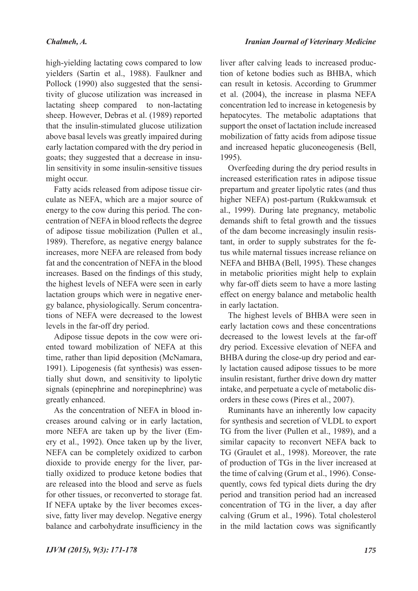high-yielding lactating cows compared to low yielders (Sartin et al., 1988). Faulkner and Pollock (1990) also suggested that the sensitivity of glucose utilization was increased in lactating sheep compared to non-lactating sheep. However, Debras et al. (1989) reported that the insulin-stimulated glucose utilization above basal levels was greatly impaired during early lactation compared with the dry period in goats; they suggested that a decrease in insulin sensitivity in some insulin-sensitive tissues might occur.

Fatty acids released from adipose tissue circulate as NEFA, which are a major source of energy to the cow during this period. The concentration of NEFA in blood reflects the degree of adipose tissue mobilization (Pullen et al., 1989). Therefore, as negative energy balance increases, more NEFA are released from body fat and the concentration of NEFA in the blood increases. Based on the findings of this study, the highest levels of NEFA were seen in early lactation groups which were in negative energy balance, physiologically. Serum concentrations of NEFA were decreased to the lowest levels in the far-off dry period.

Adipose tissue depots in the cow were oriented toward mobilization of NEFA at this time, rather than lipid deposition (McNamara, 1991). Lipogenesis (fat synthesis) was essentially shut down, and sensitivity to lipolytic signals (epinephrine and norepinephrine) was greatly enhanced.

As the concentration of NEFA in blood increases around calving or in early lactation, more NEFA are taken up by the liver (Emery et al., 1992). Once taken up by the liver, NEFA can be completely oxidized to carbon dioxide to provide energy for the liver, partially oxidized to produce ketone bodies that are released into the blood and serve as fuels for other tissues, or reconverted to storage fat. If NEFA uptake by the liver becomes excessive, fatty liver may develop. Negative energy balance and carbohydrate insufficiency in the liver after calving leads to increased production of ketone bodies such as BHBA, which can result in ketosis. According to Grummer et al. (2004), the increase in plasma NEFA concentration led to increase in ketogenesis by hepatocytes. The metabolic adaptations that support the onset of lactation include increased mobilization of fatty acids from adipose tissue and increased hepatic gluconeogenesis (Bell, 1995).

Overfeeding during the dry period results in increased esterification rates in adipose tissue prepartum and greater lipolytic rates (and thus higher NEFA) post-partum (Rukkwamsuk et al., 1999). During late pregnancy, metabolic demands shift to fetal growth and the tissues of the dam become increasingly insulin resistant, in order to supply substrates for the fetus while maternal tissues increase reliance on NEFA and BHBA (Bell, 1995). These changes in metabolic priorities might help to explain why far-off diets seem to have a more lasting effect on energy balance and metabolic health in early lactation.

The highest levels of BHBA were seen in early lactation cows and these concentrations decreased to the lowest levels at the far-off dry period. Excessive elevation of NEFA and BHBA during the close-up dry period and early lactation caused adipose tissues to be more insulin resistant, further drive down dry matter intake, and perpetuate a cycle of metabolic disorders in these cows (Pires et al., 2007).

Ruminants have an inherently low capacity for synthesis and secretion of VLDL to export TG from the liver (Pullen et al., 1989), and a similar capacity to reconvert NEFA back to TG (Graulet et al., 1998). Moreover, the rate of production of TGs in the liver increased at the time of calving (Grum et al., 1996). Consequently, cows fed typical diets during the dry period and transition period had an increased concentration of TG in the liver, a day after calving (Grum et al., 1996). Total cholesterol in the mild lactation cows was significantly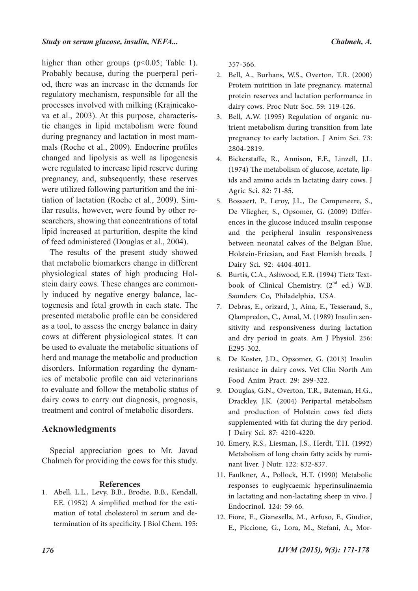higher than other groups  $(p<0.05$ ; Table 1). Probably because, during the puerperal period, there was an increase in the demands for regulatory mechanism, responsible for all the processes involved with milking (Krajnicakova et al., 2003). At this purpose, characteristic changes in lipid metabolism were found during pregnancy and lactation in most mammals (Roche et al., 2009). Endocrine profiles changed and lipolysis as well as lipogenesis were regulated to increase lipid reserve during pregnancy, and, subsequently, these reserves were utilized following parturition and the initiation of lactation (Roche et al., 2009). Similar results, however, were found by other researchers, showing that concentrations of total lipid increased at parturition, despite the kind of feed administered (Douglas et al., 2004).

The results of the present study showed that metabolic biomarkers change in different physiological states of high producing Holstein dairy cows. These changes are commonly induced by negative energy balance, lactogenesis and fetal growth in each state. The presented metabolic profile can be considered as a tool, to assess the energy balance in dairy cows at different physiological states. It can be used to evaluate the metabolic situations of herd and manage the metabolic and production disorders. Information regarding the dynamics of metabolic profile can aid veterinarians to evaluate and follow the metabolic status of dairy cows to carry out diagnosis, prognosis, treatment and control of metabolic disorders.

# **Acknowledgments**

Special appreciation goes to Mr. Javad Chalmeh for providing the cows for this study.

#### **References**

Abell, L.L., Levy, B.B., Brodie, B.B., Kendall, 1. F.E. (1952) A simplified method for the esti- mation of total cholesterol in serum and determination of its specificity. J Biol Chem. 195:

357-366.

- Bell, A., Burhans, W.S., Overton, T.R. (2000) 2. Protein nutrition in late pregnancy, maternal protein reserves and lactation performance in dairy cows. Proc Nutr Soc. 59: 119-126.
- Bell, A.W. (1995) Regulation of organic nu- trient metabolism during transition from late 3. pregnancy to early lactation. J Anim Sci. 73: 2804-2819.
- Bickerstaffe, R., Annison, E.F., Linzell, J.L. 4. (1974) The metabolism of glucose, acetate, lip- ids and amino acids in lactating dairy cows. J Agric Sci. 82: 71-85.
- Bossaert, P., Leroy, J.L., De Campeneere, S., 5. De Vliegher, S., Opsomer, G. (2009) Differ- ences in the glucose induced insulin response and the peripheral insulin responsiveness between neonatal calves of the Belgian Blue, Holstein-Friesian, and East Flemish breeds. J Dairy Sci. 92: 4404-4011.
- book of Clinical Chemistry.  $(2<sup>nd</sup>$  ed.) W.B. Saunders Co, Philadelphia, USA. 6. Burtis, C.A., Ashwood, E.R. (1994) Tietz Text-
- 7. Debras, E., orizard, J., Aina, E., Tesseraud, S., Qlampredon, C., Amal, M. (1989) Insulin sen- sitivity and responsiveness during lactation and dry period in goats. Am J Physiol. 256: E295-302.
- De Koster, J.D., Opsomer, G. (2013) Insulin 8. resistance in dairy cows. Vet Clin North Am Food Anim Pract. 29: 299-322.
- 9. Douglas, G.N., Overton, T.R., Bateman, H.G., Drackley, J.K. (2004) Peripartal metabolism and production of Holstein cows fed diets supplemented with fat during the dry period. J Dairy Sci. 87: 4210-4220.
- Emery, R.S., Liesman, J.S., Herdt, T.H. (1992) 10. Metabolism of long chain fatty acids by rumi- nant liver. J Nutr. 122: 832-837.
- 11. Faulkner, A., Pollock, H.T. (1990) Metabolic responses to euglycaemic hyperinsulinaemia in lactating and non-lactating sheep in vivo. J Endocrinol. 124: 59-66.
- 12. Fiore, E., Gianesella, M., Arfuso, F., Giudice, E., Piccione, G., Lora, M., Stefani, A., Mor-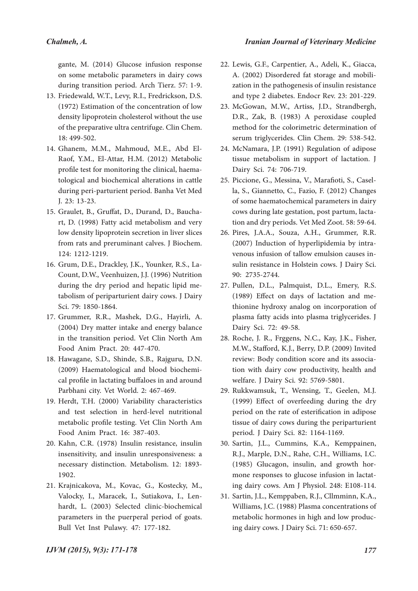gante, M. (2014) Glucose infusion response on some metabolic parameters in dairy cows during transition period. Arch Tierz. 57: 1-9.

- 13. Friedewald, W.T., Levy, R.I., Fredrickson, D.S. (1972) Estimation of the concentration of low density lipoprotein cholesterol without the use of the preparative ultra centrifuge. Clin Chem. 18: 499-502.
- Ghanem, M.M., Mahmoud, M.E., Abd El-14. Raof, Y.M., El-Attar, H.M. (2012) Metabolic profile test for monitoring the clinical, haema- tological and biochemical alterations in cattle during peri-parturient period. Banha Vet Med J. 23: 13-23.
- Graulet, B., Gruffat, D., Durand, D., Baucha- rt, D. (1998) Fatty acid metabolism and very 15. low density lipoprotein secretion in liver slices from rats and preruminant calves. J Biochem. 124: 1212-1219.
- Grum, D.E., Drackley, J.K., Younker, R.S., La- Count, D.W., Veenhuizen, J.J. (1996) Nutrition 16. during the dry period and hepatic lipid me- tabolism of periparturient dairy cows. J Dairy Sci. 79: 1850-1864.
- Grummer, R.R., Mashek, D.G., Hayirli, A. 17. (2004) Dry matter intake and energy balance in the transition period. Vet Clin North Am Food Anim Pract. 20: 447-470.
- 18. Hawagane, S.D., Shinde, S.B., Rajguru, D.N. (2009) Haematological and blood biochemi- cal profile in lactating buffaloes in and around Parbhani city. Vet World. 2: 467-469.
- 19. Herdt, T.H. (2000) Variability characteristics and test selection in herd-level nutritional metabolic profile testing. Vet Clin North Am Food Anim Pract. 16: 387-403.
- 20. Kahn, C.R. (1978) Insulin resistance, insulin insensitivity, and insulin unresponsiveness: a necessary distinction. Metabolism. 12: 1893- 1902.
- 21. Krajnicakova, M., Kovac, G., Kostecky, M., Valocky, I., Maracek, I., Sutiakova, I., Len- hardt, L. (2003) Selected clinic-biochemical parameters in the puerperal period of goats. Bull Vet Inst Pulawy. 47: 177-182.
- Lewis, G.F., Carpentier, A., Adeli, K., Giacca, 22. A. (2002) Disordered fat storage and mobili- zation in the pathogenesis of insulin resistance and type 2 diabetes. Endocr Rev. 23: 201-229.
- McGowan, M.W., Artiss, J.D., Strandbergh, 23. D.R., Zak, B. (1983) A peroxidase coupled method for the colorimetric determination of serum triglycerides. Clin Chem. 29: 538-542.
- 24. McNamara, J.P. (1991) Regulation of adipose tissue metabolism in support of lactation. J Dairy Sci. 74: 706-719.
- Piccione, G., Messina, V., Marafioti, S., Casel- la, S., Giannetto, C., Fazio, F. (2012) Changes 25. of some haematochemical parameters in dairy cows during late gestation, post partum, lacta-<br>tion and dry periods. Vet Med Zoot. 58: 59-64.
- 26. Pires, J.A.A., Souza, A.H., Grummer, R.R. (2007) Induction of hyperlipidemia by intra- venous infusion of tallow emulsion causes in- sulin resistance in Holstein cows. J Dairy Sci. 90: 2735-2744.
- 27. Pullen, D.L., Palmquist, D.L., Emery, R.S. (1989) Effect on days of lactation and me- thionine hydroxy analog on incorporation of plasma fatty acids into plasma triglycerides. J Dairy Sci. 72: 49-58.
- 28. Roche, J. R., Frggens, N.C., Kay, J.K., Fisher, M.W., Stafford, K.J., Berry, D.P. (2009) Invited review: Body condition score and its associa- tion with dairy cow productivity, health and welfare. J Dairy Sci. 92: 5769-5801.
- 29. Rukkwamsuk, T., Wensing, T., Geelen, M.J. (1999) Effect of overfeeding during the dry period on the rate of esterification in adipose tissue of dairy cows during the periparturient period. J Dairy Sci. 82: 1164-1169.
- 30. Sartin, J.L., Cummins, K.A., Kemppainen, R.J., Marple, D.N., Rahe, C.H., Williams, I.C. (1985) Glucagon, insulin, and growth hor- mone responses to glucose infusion in lactat- ing dairy cows. Am J Physiol. 248: E108-114.
- Sartin, J.L., Kemppaben, R.J., Cllmminn, K.A., 31. Williams, J.C. (1988) Plasma concentrations of metabolic hormones in high and low produc- ing dairy cows. J Dairy Sci. 71: 650-657.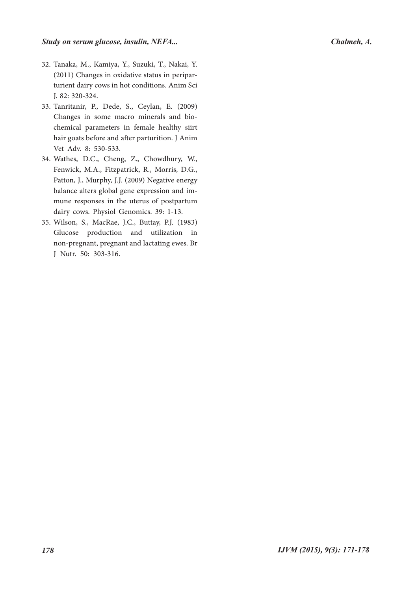- 32. Tanaka, M., Kamiya, Y., Suzuki, T., Nakai, Y. (2011) Changes in oxidative status in peripar- turient dairy cows in hot conditions. Anim Sci J. 82: 320-324.
- Tanritanir, P., Dede, S., Ceylan, E. (2009) 33. Changes in some macro minerals and bio- chemical parameters in female healthy siirt hair goats before and after parturition. J Anim Vet Adv. 8: 530-533.
- 34. Wathes, D.C., Cheng, Z., Chowdhury, W., Fenwick, M.A., Fitzpatrick, R., Morris, D.G., Patton, J., Murphy, J.J. (2009) Negative energy<br>balance alters global gene expression and immune responses in the uterus of postpartum dairy cows. Physiol Genomics. 39: 1-13.
- Wilson, S., MacRae, J.C., Buttay, P.J. (1983) 35. Glucose production and utilization in non-pregnant, pregnant and lactating ewes. Br J Nutr. 50: 303-316.